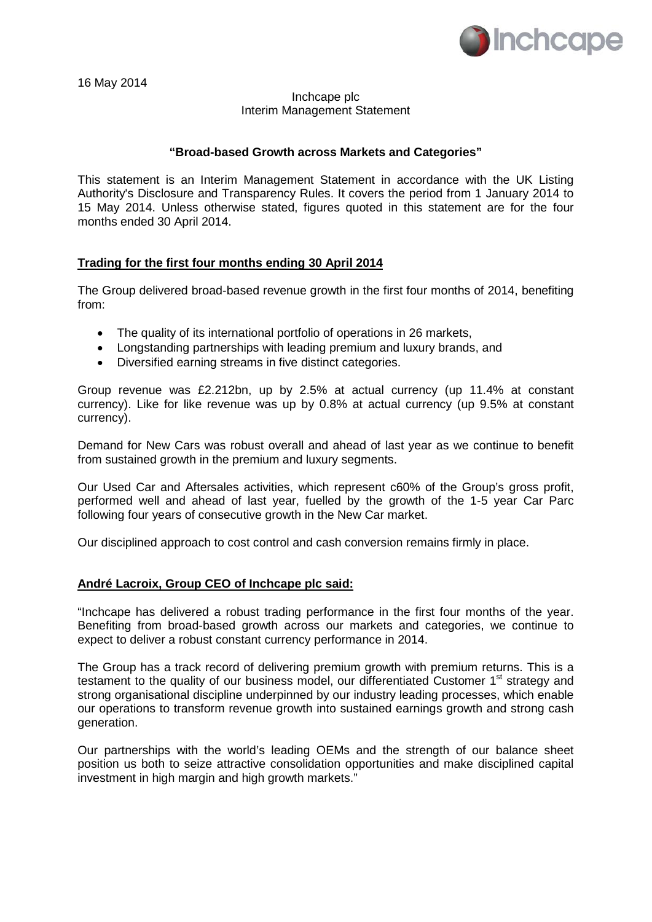

16 May 2014

## Inchcape plc Interim Management Statement

## **"Broad-based Growth across Markets and Categories"**

This statement is an Interim Management Statement in accordance with the UK Listing Authority's Disclosure and Transparency Rules. It covers the period from 1 January 2014 to 15 May 2014. Unless otherwise stated, figures quoted in this statement are for the four months ended 30 April 2014.

## **Trading for the first four months ending 30 April 2014**

The Group delivered broad-based revenue growth in the first four months of 2014, benefiting from:

- The quality of its international portfolio of operations in 26 markets,
- Longstanding partnerships with leading premium and luxury brands, and
- Diversified earning streams in five distinct categories.

Group revenue was £2.212bn, up by 2.5% at actual currency (up 11.4% at constant currency). Like for like revenue was up by 0.8% at actual currency (up 9.5% at constant currency).

Demand for New Cars was robust overall and ahead of last year as we continue to benefit from sustained growth in the premium and luxury segments.

Our Used Car and Aftersales activities, which represent c60% of the Group's gross profit, performed well and ahead of last year, fuelled by the growth of the 1-5 year Car Parc following four years of consecutive growth in the New Car market.

Our disciplined approach to cost control and cash conversion remains firmly in place.

#### **André Lacroix, Group CEO of Inchcape plc said:**

"Inchcape has delivered a robust trading performance in the first four months of the year. Benefiting from broad-based growth across our markets and categories, we continue to expect to deliver a robust constant currency performance in 2014.

The Group has a track record of delivering premium growth with premium returns. This is a testament to the quality of our business model, our differentiated Customer 1<sup>st</sup> strategy and strong organisational discipline underpinned by our industry leading processes, which enable our operations to transform revenue growth into sustained earnings growth and strong cash generation.

Our partnerships with the world's leading OEMs and the strength of our balance sheet position us both to seize attractive consolidation opportunities and make disciplined capital investment in high margin and high growth markets."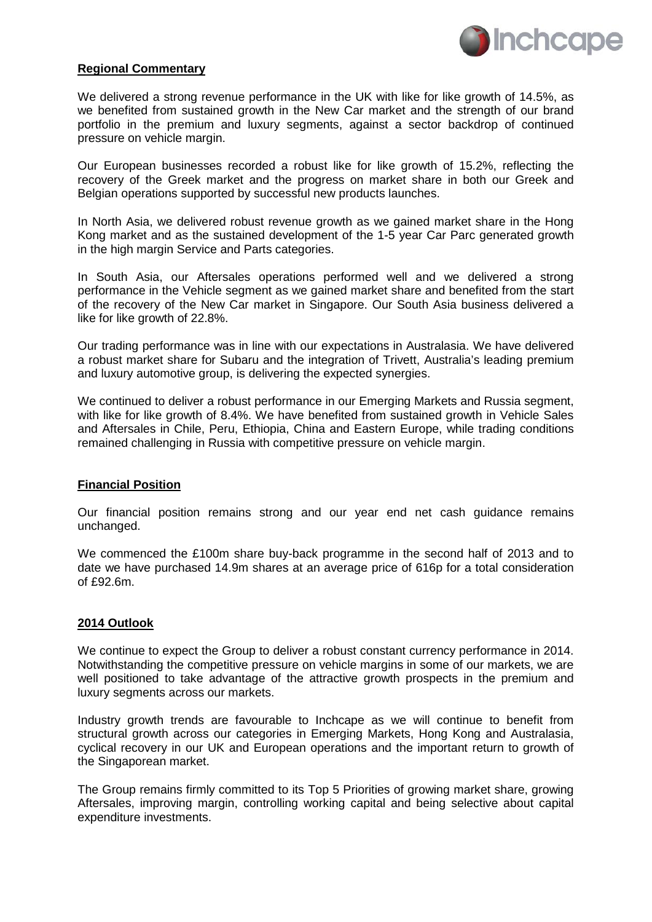

#### **Regional Commentary**

We delivered a strong revenue performance in the UK with like for like growth of 14.5%, as we benefited from sustained growth in the New Car market and the strength of our brand portfolio in the premium and luxury segments, against a sector backdrop of continued pressure on vehicle margin.

Our European businesses recorded a robust like for like growth of 15.2%, reflecting the recovery of the Greek market and the progress on market share in both our Greek and Belgian operations supported by successful new products launches.

In North Asia, we delivered robust revenue growth as we gained market share in the Hong Kong market and as the sustained development of the 1-5 year Car Parc generated growth in the high margin Service and Parts categories.

In South Asia, our Aftersales operations performed well and we delivered a strong performance in the Vehicle segment as we gained market share and benefited from the start of the recovery of the New Car market in Singapore. Our South Asia business delivered a like for like growth of 22.8%.

Our trading performance was in line with our expectations in Australasia. We have delivered a robust market share for Subaru and the integration of Trivett, Australia's leading premium and luxury automotive group, is delivering the expected synergies.

We continued to deliver a robust performance in our Emerging Markets and Russia segment, with like for like growth of 8.4%. We have benefited from sustained growth in Vehicle Sales and Aftersales in Chile, Peru, Ethiopia, China and Eastern Europe, while trading conditions remained challenging in Russia with competitive pressure on vehicle margin.

#### **Financial Position**

Our financial position remains strong and our year end net cash guidance remains unchanged.

We commenced the £100m share buy-back programme in the second half of 2013 and to date we have purchased 14.9m shares at an average price of 616p for a total consideration of £92.6m.

#### **2014 Outlook**

We continue to expect the Group to deliver a robust constant currency performance in 2014. Notwithstanding the competitive pressure on vehicle margins in some of our markets, we are well positioned to take advantage of the attractive growth prospects in the premium and luxury segments across our markets.

Industry growth trends are favourable to Inchcape as we will continue to benefit from structural growth across our categories in Emerging Markets, Hong Kong and Australasia, cyclical recovery in our UK and European operations and the important return to growth of the Singaporean market.

The Group remains firmly committed to its Top 5 Priorities of growing market share, growing Aftersales, improving margin, controlling working capital and being selective about capital expenditure investments.